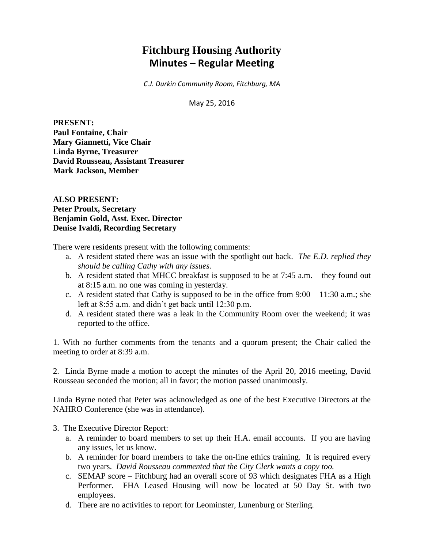# **Fitchburg Housing Authority Minutes – Regular Meeting**

*C.J. Durkin Community Room, Fitchburg, MA*

May 25, 2016

**PRESENT: Paul Fontaine, Chair Mary Giannetti, Vice Chair Linda Byrne, Treasurer David Rousseau, Assistant Treasurer Mark Jackson, Member**

**ALSO PRESENT: Peter Proulx, Secretary Benjamin Gold, Asst. Exec. Director Denise Ivaldi, Recording Secretary**

There were residents present with the following comments:

- a. A resident stated there was an issue with the spotlight out back. *The E.D. replied they should be calling Cathy with any issues.*
- b. A resident stated that MHCC breakfast is supposed to be at 7:45 a.m. they found out at 8:15 a.m. no one was coming in yesterday.
- c. A resident stated that Cathy is supposed to be in the office from  $9:00 11:30$  a.m.; she left at 8:55 a.m. and didn't get back until 12:30 p.m.
- d. A resident stated there was a leak in the Community Room over the weekend; it was reported to the office.

1. With no further comments from the tenants and a quorum present; the Chair called the meeting to order at 8:39 a.m.

2. Linda Byrne made a motion to accept the minutes of the April 20, 2016 meeting, David Rousseau seconded the motion; all in favor; the motion passed unanimously.

Linda Byrne noted that Peter was acknowledged as one of the best Executive Directors at the NAHRO Conference (she was in attendance).

- 3. The Executive Director Report:
	- a. A reminder to board members to set up their H.A. email accounts. If you are having any issues, let us know.
	- b. A reminder for board members to take the on-line ethics training. It is required every two years. *David Rousseau commented that the City Clerk wants a copy too.*
	- c. SEMAP score Fitchburg had an overall score of 93 which designates FHA as a High Performer. FHA Leased Housing will now be located at 50 Day St. with two employees.
	- d. There are no activities to report for Leominster, Lunenburg or Sterling.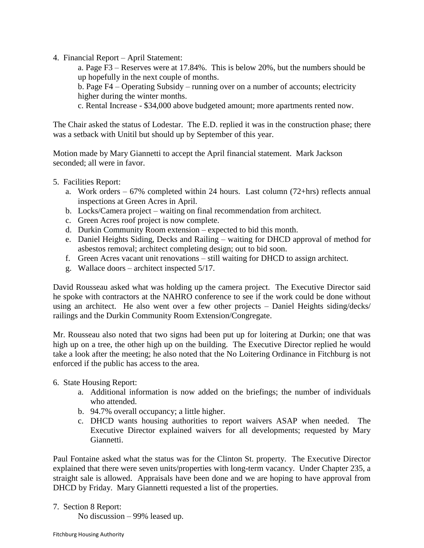4. Financial Report – April Statement:

a. Page F3 – Reserves were at 17.84%. This is below 20%, but the numbers should be up hopefully in the next couple of months.

b. Page F4 – Operating Subsidy – running over on a number of accounts; electricity higher during the winter months.

c. Rental Increase - \$34,000 above budgeted amount; more apartments rented now.

The Chair asked the status of Lodestar. The E.D. replied it was in the construction phase; there was a setback with Unitil but should up by September of this year.

Motion made by Mary Giannetti to accept the April financial statement. Mark Jackson seconded; all were in favor.

- 5. Facilities Report:
	- a. Work orders  $-67\%$  completed within 24 hours. Last column (72+hrs) reflects annual inspections at Green Acres in April.
	- b. Locks/Camera project waiting on final recommendation from architect.
	- c. Green Acres roof project is now complete.
	- d. Durkin Community Room extension expected to bid this month.
	- e. Daniel Heights Siding, Decks and Railing waiting for DHCD approval of method for asbestos removal; architect completing design; out to bid soon.
	- f. Green Acres vacant unit renovations still waiting for DHCD to assign architect.
	- g. Wallace doors architect inspected 5/17.

David Rousseau asked what was holding up the camera project. The Executive Director said he spoke with contractors at the NAHRO conference to see if the work could be done without using an architect. He also went over a few other projects – Daniel Heights siding/decks/ railings and the Durkin Community Room Extension/Congregate.

Mr. Rousseau also noted that two signs had been put up for loitering at Durkin; one that was high up on a tree, the other high up on the building. The Executive Director replied he would take a look after the meeting; he also noted that the No Loitering Ordinance in Fitchburg is not enforced if the public has access to the area.

## 6. State Housing Report:

- a. Additional information is now added on the briefings; the number of individuals who attended.
- b. 94.7% overall occupancy; a little higher.
- c. DHCD wants housing authorities to report waivers ASAP when needed. The Executive Director explained waivers for all developments; requested by Mary Giannetti.

Paul Fontaine asked what the status was for the Clinton St. property. The Executive Director explained that there were seven units/properties with long-term vacancy. Under Chapter 235, a straight sale is allowed. Appraisals have been done and we are hoping to have approval from DHCD by Friday. Mary Giannetti requested a list of the properties.

7. Section 8 Report:

No discussion – 99% leased up.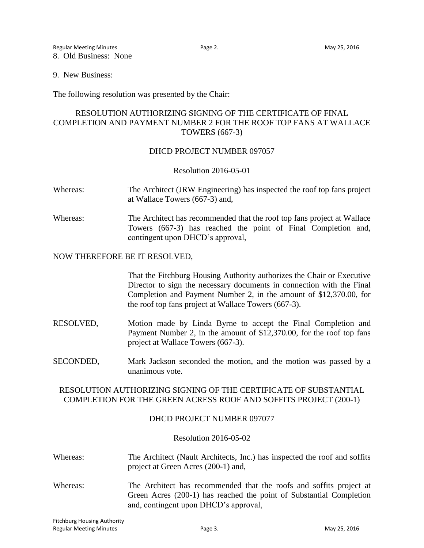9. New Business:

The following resolution was presented by the Chair:

# RESOLUTION AUTHORIZING SIGNING OF THE CERTIFICATE OF FINAL COMPLETION AND PAYMENT NUMBER 2 FOR THE ROOF TOP FANS AT WALLACE TOWERS (667-3)

#### DHCD PROJECT NUMBER 097057

Resolution 2016-05-01

- Whereas: The Architect (JRW Engineering) has inspected the roof top fans project at Wallace Towers (667-3) and,
- Whereas: The Architect has recommended that the roof top fans project at Wallace Towers (667-3) has reached the point of Final Completion and, contingent upon DHCD's approval,

#### NOW THEREFORE BE IT RESOLVED,

That the Fitchburg Housing Authority authorizes the Chair or Executive Director to sign the necessary documents in connection with the Final Completion and Payment Number 2, in the amount of \$12,370.00, for the roof top fans project at Wallace Towers (667-3).

- RESOLVED, Motion made by Linda Byrne to accept the Final Completion and Payment Number 2, in the amount of \$12,370.00, for the roof top fans project at Wallace Towers (667-3).
- SECONDED, Mark Jackson seconded the motion, and the motion was passed by a unanimous vote.

## RESOLUTION AUTHORIZING SIGNING OF THE CERTIFICATE OF SUBSTANTIAL COMPLETION FOR THE GREEN ACRESS ROOF AND SOFFITS PROJECT (200-1)

## DHCD PROJECT NUMBER 097077

#### Resolution 2016-05-02

- Whereas: The Architect (Nault Architects, Inc.) has inspected the roof and soffits project at Green Acres (200-1) and,
- Whereas: The Architect has recommended that the roofs and soffits project at Green Acres (200-1) has reached the point of Substantial Completion and, contingent upon DHCD's approval,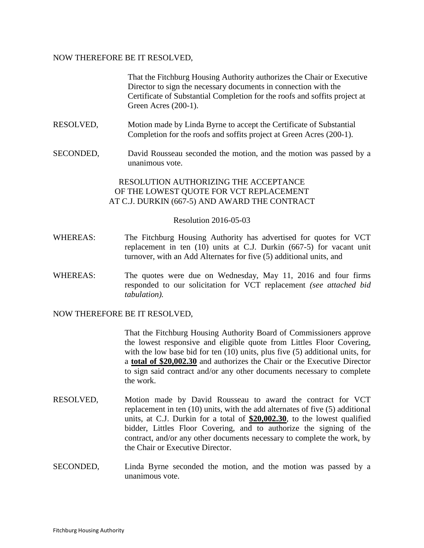#### NOW THEREFORE BE IT RESOLVED,

That the Fitchburg Housing Authority authorizes the Chair or Executive Director to sign the necessary documents in connection with the Certificate of Substantial Completion for the roofs and soffits project at Green Acres (200-1).

- RESOLVED, Motion made by Linda Byrne to accept the Certificate of Substantial Completion for the roofs and soffits project at Green Acres (200-1).
- SECONDED, David Rousseau seconded the motion, and the motion was passed by a unanimous vote.

## RESOLUTION AUTHORIZING THE ACCEPTANCE OF THE LOWEST QUOTE FOR VCT REPLACEMENT AT C.J. DURKIN (667-5) AND AWARD THE CONTRACT

#### Resolution 2016-05-03

- WHEREAS: The Fitchburg Housing Authority has advertised for quotes for VCT replacement in ten (10) units at C.J. Durkin (667-5) for vacant unit turnover, with an Add Alternates for five (5) additional units, and
- WHEREAS: The quotes were due on Wednesday, May 11, 2016 and four firms responded to our solicitation for VCT replacement *(see attached bid tabulation).*

NOW THEREFORE BE IT RESOLVED,

That the Fitchburg Housing Authority Board of Commissioners approve the lowest responsive and eligible quote from Littles Floor Covering, with the low base bid for ten (10) units, plus five (5) additional units, for a **total of \$20,002.30** and authorizes the Chair or the Executive Director to sign said contract and/or any other documents necessary to complete the work.

- RESOLVED, Motion made by David Rousseau to award the contract for VCT replacement in ten (10) units, with the add alternates of five (5) additional units, at C.J. Durkin for a total of **\$20,002.30**, to the lowest qualified bidder, Littles Floor Covering, and to authorize the signing of the contract, and/or any other documents necessary to complete the work, by the Chair or Executive Director.
- SECONDED, Linda Byrne seconded the motion, and the motion was passed by a unanimous vote.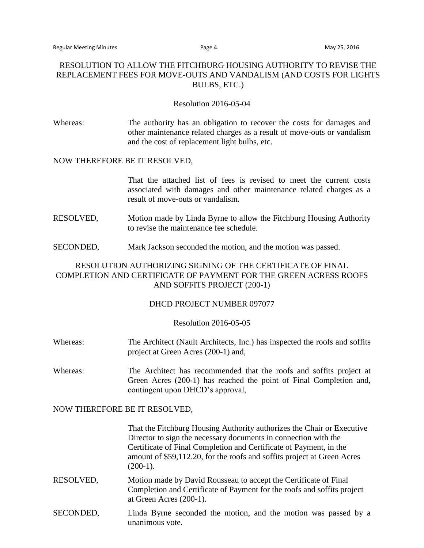## RESOLUTION TO ALLOW THE FITCHBURG HOUSING AUTHORITY TO REVISE THE REPLACEMENT FEES FOR MOVE-OUTS AND VANDALISM (AND COSTS FOR LIGHTS BULBS, ETC.)

#### Resolution 2016-05-04

Whereas: The authority has an obligation to recover the costs for damages and other maintenance related charges as a result of move-outs or vandalism and the cost of replacement light bulbs, etc.

#### NOW THEREFORE BE IT RESOLVED,

That the attached list of fees is revised to meet the current costs associated with damages and other maintenance related charges as a result of move-outs or vandalism.

- RESOLVED, Motion made by Linda Byrne to allow the Fitchburg Housing Authority to revise the maintenance fee schedule.
- SECONDED, Mark Jackson seconded the motion, and the motion was passed.

## RESOLUTION AUTHORIZING SIGNING OF THE CERTIFICATE OF FINAL COMPLETION AND CERTIFICATE OF PAYMENT FOR THE GREEN ACRESS ROOFS AND SOFFITS PROJECT (200-1)

#### DHCD PROJECT NUMBER 097077

#### Resolution 2016-05-05

- Whereas: The Architect (Nault Architects, Inc.) has inspected the roofs and soffits project at Green Acres (200-1) and,
- Whereas: The Architect has recommended that the roofs and soffits project at Green Acres (200-1) has reached the point of Final Completion and, contingent upon DHCD's approval,

#### NOW THEREFORE BE IT RESOLVED,

That the Fitchburg Housing Authority authorizes the Chair or Executive Director to sign the necessary documents in connection with the Certificate of Final Completion and Certificate of Payment, in the amount of \$59,112.20, for the roofs and soffits project at Green Acres  $(200-1)$ .

- RESOLVED, Motion made by David Rousseau to accept the Certificate of Final Completion and Certificate of Payment for the roofs and soffits project at Green Acres (200-1).
- SECONDED, Linda Byrne seconded the motion, and the motion was passed by a unanimous vote.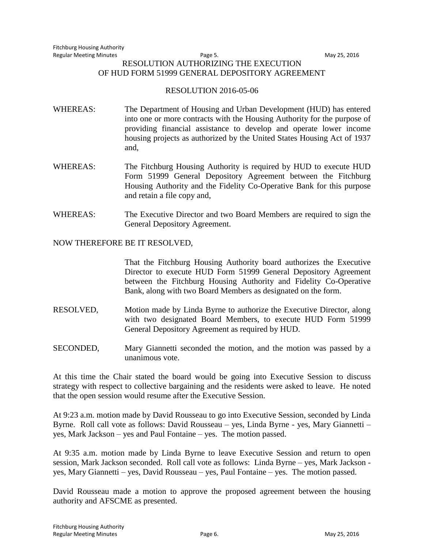#### Regular Meeting Minutes and the Cause of the Page 5. Contract the May 25, 2016 RESOLUTION AUTHORIZING THE EXECUTION OF HUD FORM 51999 GENERAL DEPOSITORY AGREEMENT

### RESOLUTION 2016-05-06

- WHEREAS: The Department of Housing and Urban Development (HUD) has entered into one or more contracts with the Housing Authority for the purpose of providing financial assistance to develop and operate lower income housing projects as authorized by the United States Housing Act of 1937 and,
- WHEREAS: The Fitchburg Housing Authority is required by HUD to execute HUD Form 51999 General Depository Agreement between the Fitchburg Housing Authority and the Fidelity Co-Operative Bank for this purpose and retain a file copy and,
- WHEREAS: The Executive Director and two Board Members are required to sign the General Depository Agreement.

## NOW THEREFORE BE IT RESOLVED,

That the Fitchburg Housing Authority board authorizes the Executive Director to execute HUD Form 51999 General Depository Agreement between the Fitchburg Housing Authority and Fidelity Co-Operative Bank, along with two Board Members as designated on the form.

- RESOLVED, Motion made by Linda Byrne to authorize the Executive Director, along with two designated Board Members, to execute HUD Form 51999 General Depository Agreement as required by HUD.
- SECONDED, Mary Giannetti seconded the motion, and the motion was passed by a unanimous vote.

At this time the Chair stated the board would be going into Executive Session to discuss strategy with respect to collective bargaining and the residents were asked to leave. He noted that the open session would resume after the Executive Session.

At 9:23 a.m. motion made by David Rousseau to go into Executive Session, seconded by Linda Byrne. Roll call vote as follows: David Rousseau – yes, Linda Byrne - yes, Mary Giannetti – yes, Mark Jackson – yes and Paul Fontaine – yes. The motion passed.

At 9:35 a.m. motion made by Linda Byrne to leave Executive Session and return to open session, Mark Jackson seconded. Roll call vote as follows: Linda Byrne – yes, Mark Jackson yes, Mary Giannetti – yes, David Rousseau – yes, Paul Fontaine – yes. The motion passed.

David Rousseau made a motion to approve the proposed agreement between the housing authority and AFSCME as presented.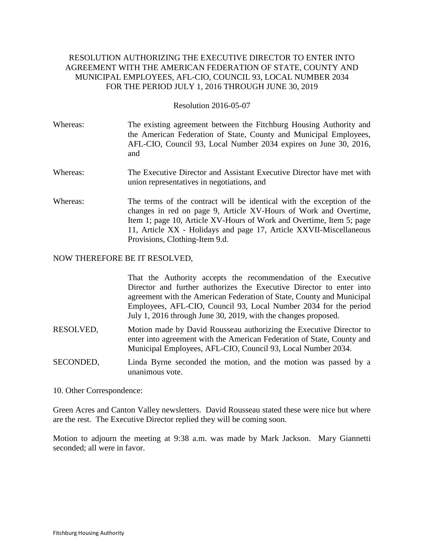# RESOLUTION AUTHORIZING THE EXECUTIVE DIRECTOR TO ENTER INTO AGREEMENT WITH THE AMERICAN FEDERATION OF STATE, COUNTY AND MUNICIPAL EMPLOYEES, AFL-CIO, COUNCIL 93, LOCAL NUMBER 2034 FOR THE PERIOD JULY 1, 2016 THROUGH JUNE 30, 2019

#### Resolution 2016-05-07

- Whereas: The existing agreement between the Fitchburg Housing Authority and the American Federation of State, County and Municipal Employees, AFL-CIO, Council 93, Local Number 2034 expires on June 30, 2016, and
- Whereas: The Executive Director and Assistant Executive Director have met with union representatives in negotiations, and
- Whereas: The terms of the contract will be identical with the exception of the changes in red on page 9, Article XV-Hours of Work and Overtime, Item 1; page 10, Article XV-Hours of Work and Overtime, Item 5; page 11, Article XX - Holidays and page 17, Article XXVII-Miscellaneous Provisions, Clothing-Item 9.d.

#### NOW THEREFORE BE IT RESOLVED,

That the Authority accepts the recommendation of the Executive Director and further authorizes the Executive Director to enter into agreement with the American Federation of State, County and Municipal Employees, AFL-CIO, Council 93, Local Number 2034 for the period July 1, 2016 through June 30, 2019, with the changes proposed.

- RESOLVED, Motion made by David Rousseau authorizing the Executive Director to enter into agreement with the American Federation of State, County and Municipal Employees, AFL-CIO, Council 93, Local Number 2034.
- SECONDED, Linda Byrne seconded the motion, and the motion was passed by a unanimous vote.
- 10. Other Correspondence:

Green Acres and Canton Valley newsletters. David Rousseau stated these were nice but where are the rest. The Executive Director replied they will be coming soon.

Motion to adjourn the meeting at 9:38 a.m. was made by Mark Jackson. Mary Giannetti seconded; all were in favor.